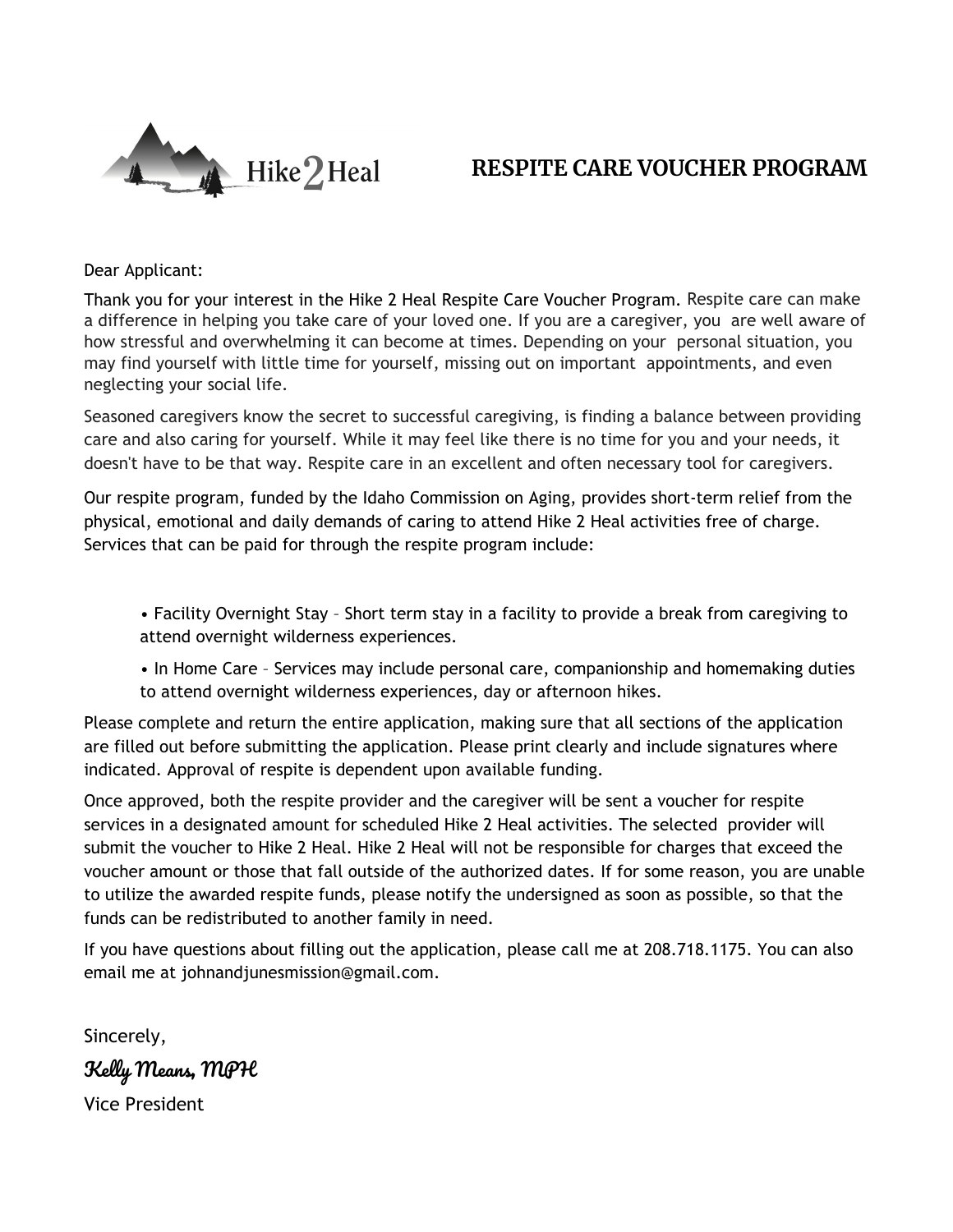

# **RESPITE CARE VOUCHER PROGRAM**

Dear Applicant:

Thank you for your interest in the Hike 2 Heal Respite Care Voucher Program. Respite care can make a difference in helping you take care of your loved one. If you are a caregiver, you are well aware of how stressful and overwhelming it can become at times. Depending on your personal situation, you may find yourself with little time for yourself, missing out on important appointments, and even neglecting your social life.

Seasoned caregivers know the secret to successful caregiving, is finding a balance between providing care and also caring for yourself. While it may feel like there is no time for you and your needs, it doesn't have to be that way. Respite care in an excellent and often necessary tool for caregivers.

Our respite program, funded by the Idaho Commission on Aging, provides short-term relief from the physical, emotional and daily demands of caring to attend Hike 2 Heal activities free of charge. Services that can be paid for through the respite program include:

• Facility Overnight Stay – Short term stay in a facility to provide a break from caregiving to attend overnight wilderness experiences.

• In Home Care – Services may include personal care, companionship and homemaking duties to attend overnight wilderness experiences, day or afternoon hikes.

Please complete and return the entire application, making sure that all sections of the application are filled out before submitting the application. Please print clearly and include signatures where indicated. Approval of respite is dependent upon available funding.

Once approved, both the respite provider and the caregiver will be sent a voucher for respite services in a designated amount for scheduled Hike 2 Heal activities. The selected provider will submit the voucher to Hike 2 Heal. Hike 2 Heal will not be responsible for charges that exceed the voucher amount or those that fall outside of the authorized dates. If for some reason, you are unable to utilize the awarded respite funds, please notify the undersigned as soon as possible, so that the funds can be redistributed to another family in need.

If you have questions about filling out the application, please call me at 208.718.1175. You can also email me at johnandjunesmission@gmail.com.

Sincerely, Kelly Means, MPH Vice President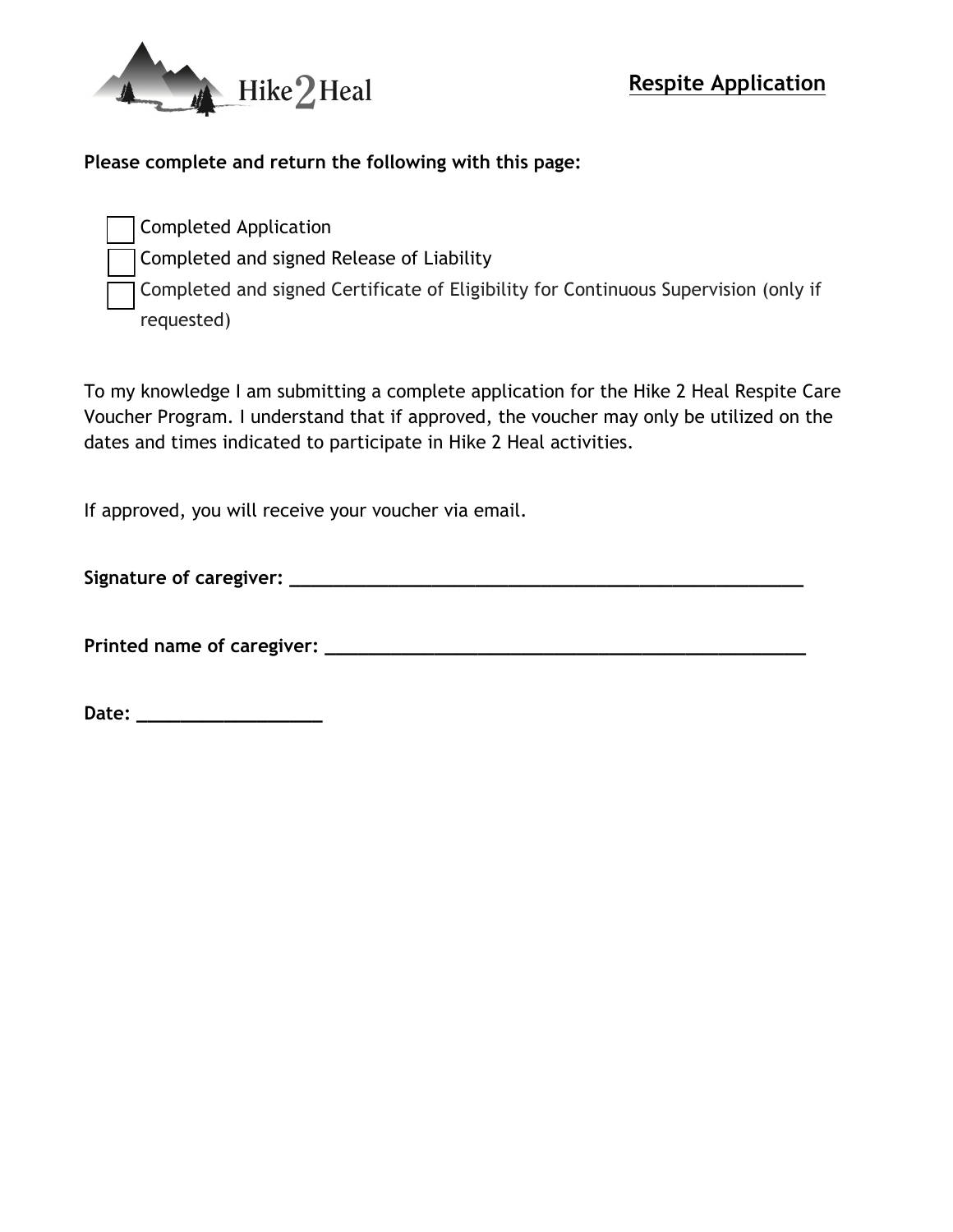

### **Please complete and return the following with this page:**

Completed Application

Completed and signed Release of Liability

Completed and signed Certificate of Eligibility for Continuous Supervision (only if requested)

To my knowledge I am submitting a complete application for the Hike 2 Heal Respite Care Voucher Program. I understand that if approved, the voucher may only be utilized on the dates and times indicated to participate in Hike 2 Heal activities.

If approved, you will receive your voucher via email.

**Signature of caregiver: \_\_\_\_\_\_\_\_\_\_\_\_\_\_\_\_\_\_\_\_\_\_\_\_\_\_\_\_\_\_\_\_\_\_\_\_\_\_\_\_\_\_\_\_\_\_\_**

**Printed name of caregiver: \_\_\_\_\_\_\_\_\_\_\_\_\_\_\_\_\_\_\_\_\_\_\_\_\_\_\_\_\_\_\_\_\_\_\_\_\_\_\_\_\_\_\_\_**

**Date: \_\_\_\_\_\_\_\_\_\_\_\_\_\_\_\_\_**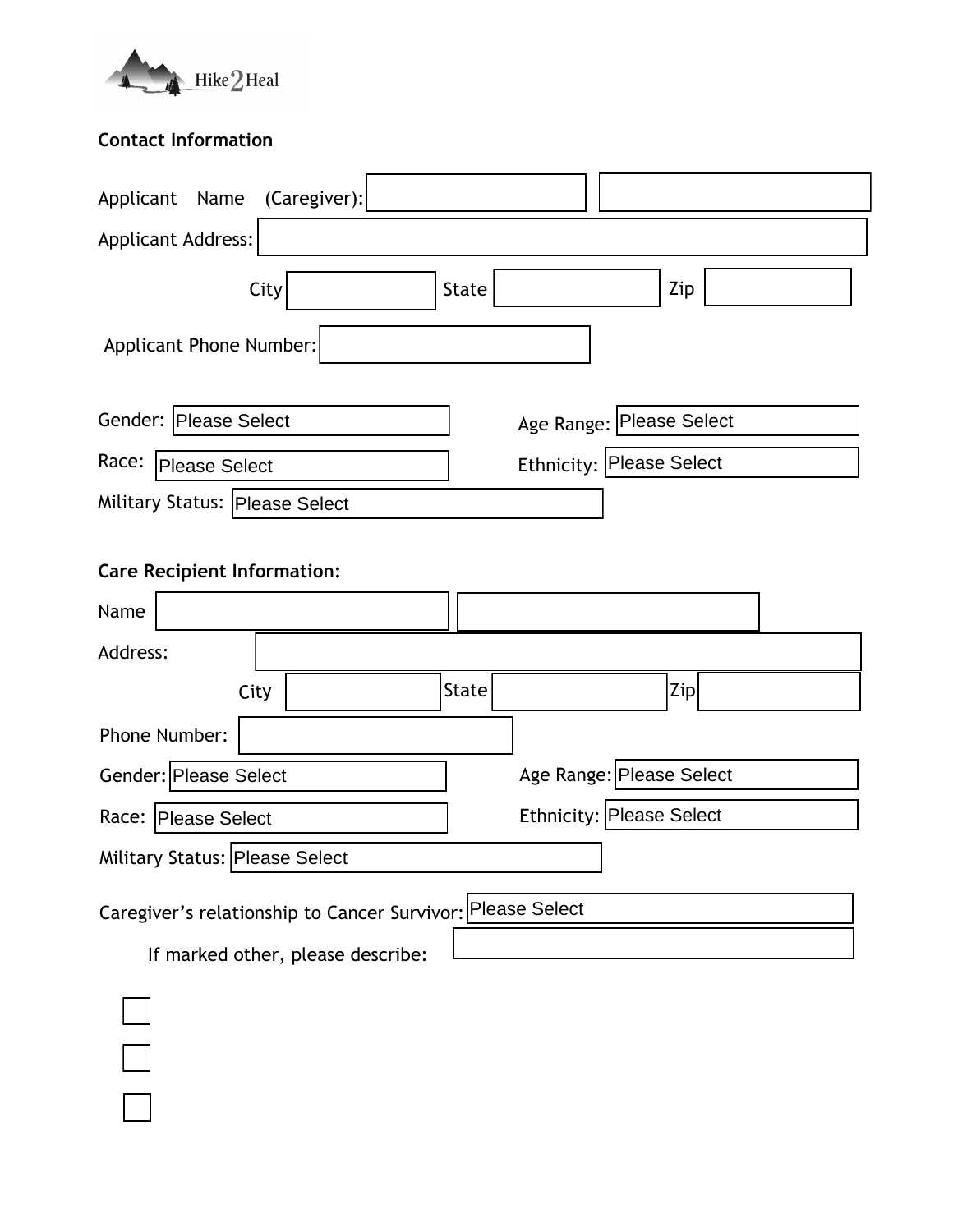

## **Contact Information**

| Applicant Name<br>(Caregiver):     |                          |
|------------------------------------|--------------------------|
| <b>Applicant Address:</b>          |                          |
| City                               | Zip<br>State             |
| Applicant Phone Number:            |                          |
|                                    |                          |
| Gender: Please Select              | Age Range: Please Select |
| Race:<br>Please Select             | Ethnicity: Please Select |
| Military Status: Please Select     |                          |
|                                    |                          |
| <b>Care Recipient Information:</b> |                          |
| Name                               |                          |

| 114111C                        |      |       |                          |  |
|--------------------------------|------|-------|--------------------------|--|
| Address:                       |      |       |                          |  |
|                                | City | State | Zip                      |  |
| Phone Number:                  |      |       |                          |  |
| Gender: Please Select          |      |       | Age Range: Please Select |  |
| Race: Please Select            |      |       | Ethnicity: Please Select |  |
| Military Status: Please Select |      |       |                          |  |

Caregiver's relationship to Cancer Survivor: Please Select

If marked other, please describe: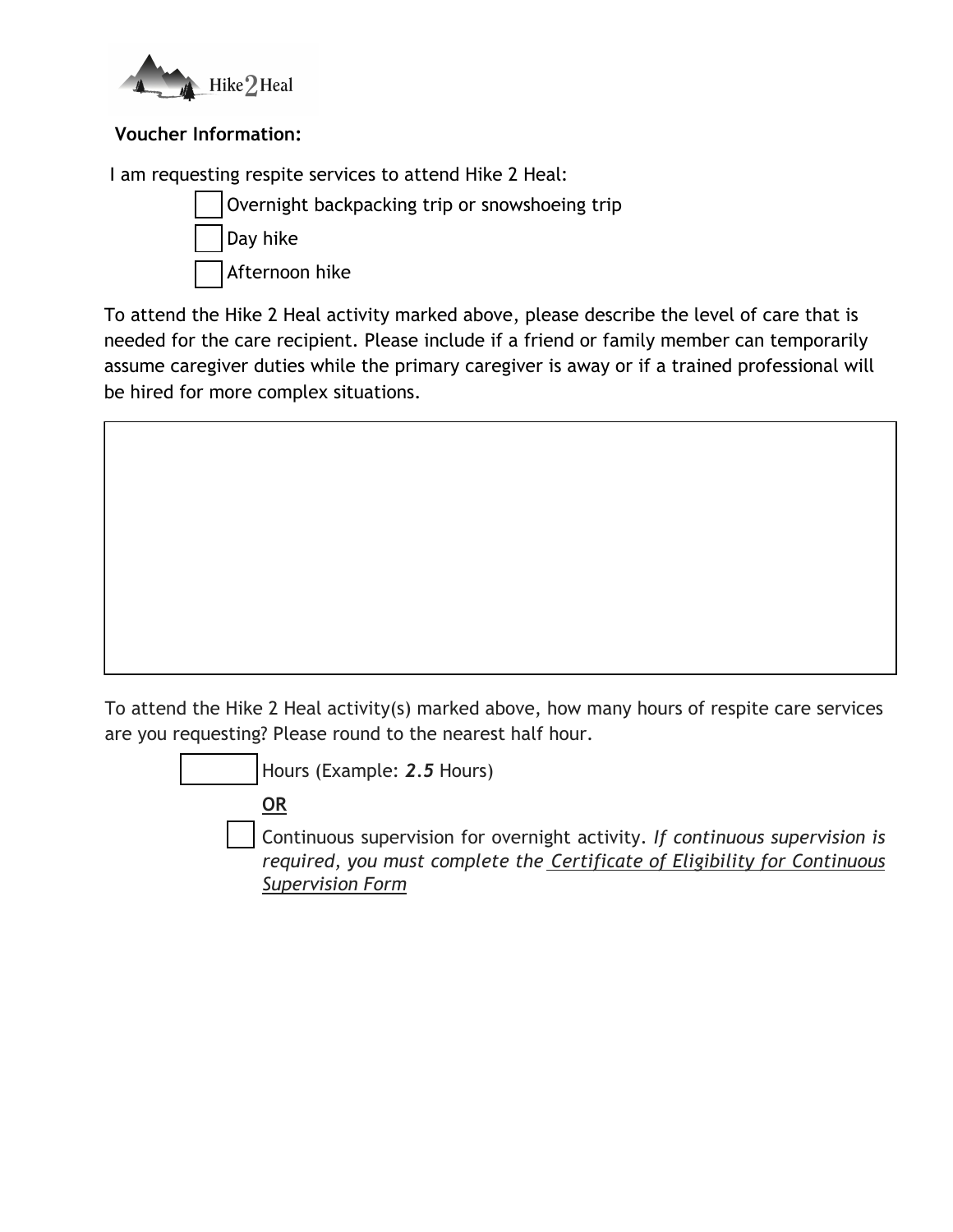

## **Voucher Information:**

I am requesting respite services to attend Hike 2 Heal:



To attend the Hike 2 Heal activity marked above, please describe the level of care that is needed for the care recipient. Please include if a friend or family member can temporarily assume caregiver duties while the primary caregiver is away or if a trained professional will be hired for more complex situations.

To attend the Hike 2 Heal activity(s) marked above, how many hours of respite care services are you requesting? Please round to the nearest half hour.

Hours (Example: *2.5* Hours)

**OR** 

Continuous supervision for overnight activity. *If continuous supervision is required, you must complete the Certificate of Eligibility for Continuous Supervision Form*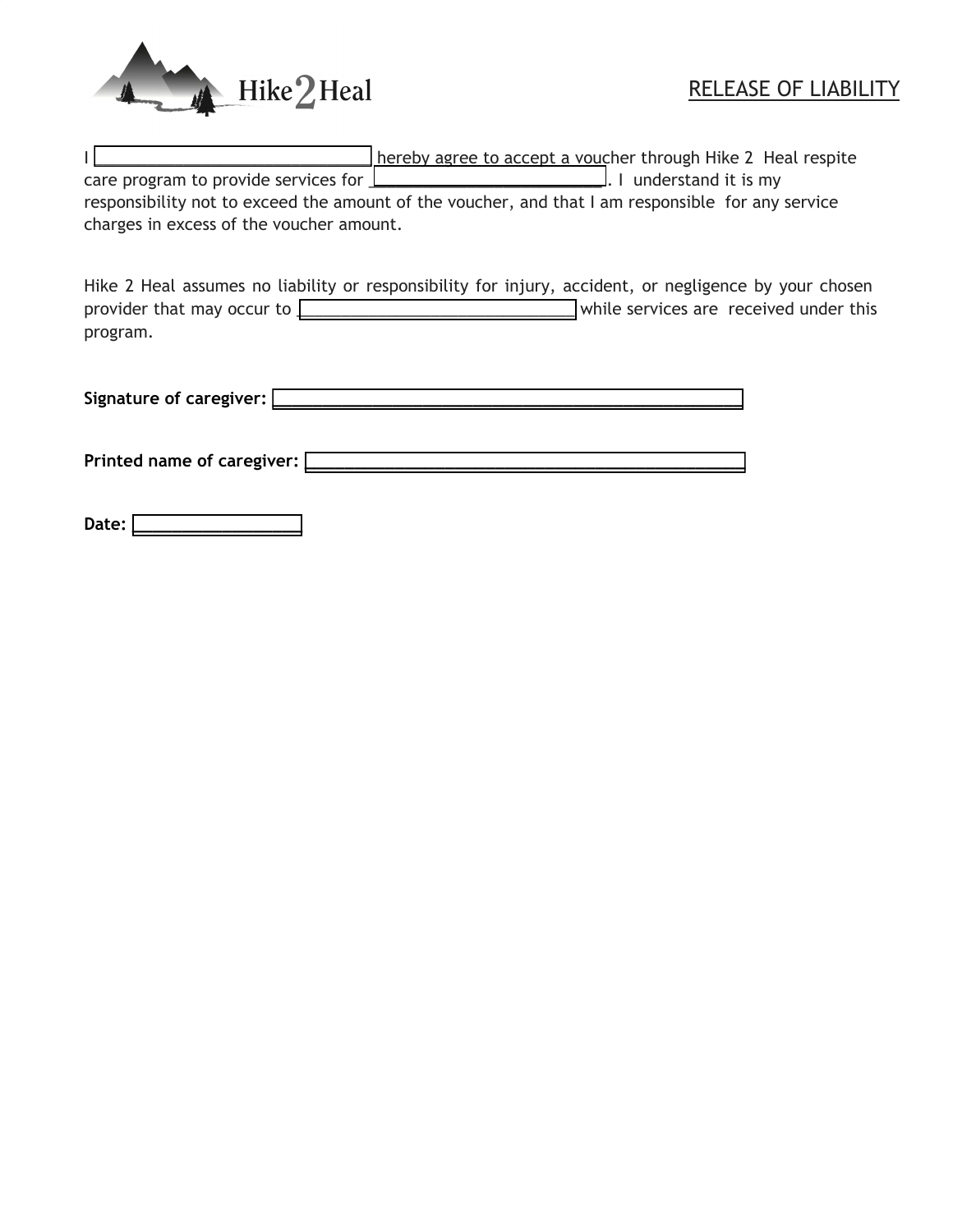

|                                          | hereby agree to accept a voucher through Hike 2 Heal respite                                      |
|------------------------------------------|---------------------------------------------------------------------------------------------------|
|                                          | care program to provide services for <u>Learn and a controller and it</u> I understand it is my   |
|                                          | responsibility not to exceed the amount of the voucher, and that I am responsible for any service |
| charges in excess of the voucher amount. |                                                                                                   |

Hike 2 Heal assumes no liability or responsibility for injury, accident, or negligence by your chosen provider that may occur to **with all and the services** are received under this program.

Signature of caregiver:  $\square$ 

**Printed name of caregiver: \_\_\_\_\_\_\_\_\_\_\_\_\_\_\_\_\_\_\_\_\_\_\_\_\_\_\_\_\_\_\_\_\_\_\_\_\_\_\_\_\_\_\_\_** 

Date:  $\square$